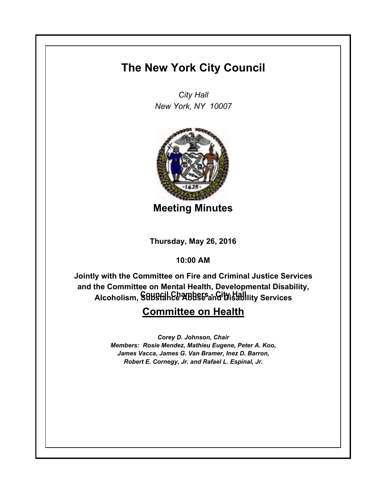## **The New York City Council**

*City Hall New York, NY 10007*



**Meeting Minutes**

**Thursday, May 26, 2016**

**10:00 AM**

**Council Chambers - City Hall Alcoholism, Substance Abuse and Disability ServicesJointly with the Committee on Fire and Criminal Justice Services and the Committee on Mental Health, Developmental Disability,** 

## **Committee on Health**

*Corey D. Johnson, Chair Members: Rosie Mendez, Mathieu Eugene, Peter A. Koo, James Vacca, James G. Van Bramer, Inez D. Barron, Robert E. Cornegy, Jr. and Rafael L. Espinal, Jr.*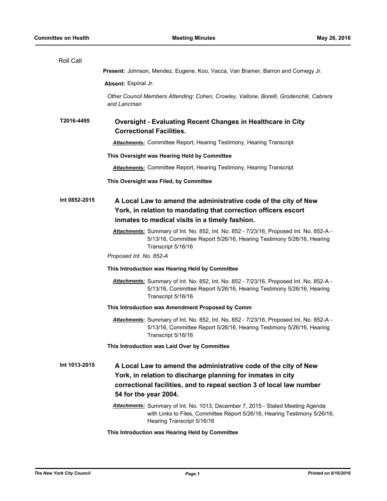| Roll Call     |                                                                                                                                                                                                                                 |
|---------------|---------------------------------------------------------------------------------------------------------------------------------------------------------------------------------------------------------------------------------|
|               | Present: Johnson, Mendez, Eugene, Koo, Vacca, Van Bramer, Barron and Cornegy Jr.                                                                                                                                                |
|               | Absent: Espinal Jr.                                                                                                                                                                                                             |
|               | Other Council Members Attending: Cohen, Crowley, Vallone, Borelli, Grodenchik, Cabrera<br>and Lancman                                                                                                                           |
| T2016-4495    | <b>Oversight - Evaluating Recent Changes in Healthcare in City</b><br><b>Correctional Facilities.</b>                                                                                                                           |
|               | <b>Attachments:</b> Committee Report, Hearing Testimony, Hearing Transcript                                                                                                                                                     |
|               | This Oversight was Hearing Held by Committee                                                                                                                                                                                    |
|               | <b>Attachments:</b> Committee Report, Hearing Testimony, Hearing Transcript                                                                                                                                                     |
|               | This Oversight was Filed, by Committee                                                                                                                                                                                          |
| Int 0852-2015 | A Local Law to amend the administrative code of the city of New<br>York, in relation to mandating that correction officers escort<br>inmates to medical visits in a timely fashion.                                             |
|               | Attachments: Summary of Int. No. 852, Int. No. 852 - 7/23/16, Proposed Int. No. 852-A -<br>5/13/16, Committee Report 5/26/16, Hearing Testimony 5/26/16, Hearing<br>Transcript 5/16/16                                          |
|               | Proposed Int. No. 852-A                                                                                                                                                                                                         |
|               | This Introduction was Hearing Held by Committee                                                                                                                                                                                 |
|               | Attachments: Summary of Int. No. 852, Int. No. 852 - 7/23/16, Proposed Int. No. 852-A -<br>5/13/16, Committee Report 5/26/16, Hearing Testimony 5/26/16, Hearing<br>Transcript 5/16/16                                          |
|               | This Introduction was Amendment Proposed by Comm                                                                                                                                                                                |
|               | Attachments: Summary of Int. No. 852, Int. No. 852 - 7/23/16, Proposed Int. No. 852-A -<br>5/13/16, Committee Report 5/26/16, Hearing Testimony 5/26/16, Hearing<br>Transcript 5/16/16                                          |
|               | This Introduction was Laid Over by Committee                                                                                                                                                                                    |
| Int 1013-2015 | A Local Law to amend the administrative code of the city of New<br>York, in relation to discharge planning for inmates in city<br>correctional facilities, and to repeal section 3 of local law number<br>54 for the year 2004. |
|               | Attachments: Summary of Int. No. 1013, December 7, 2015 - Stated Meeting Agenda<br>with Links to Files, Committee Report 5/26/16, Hearing Testimony 5/26/16,<br>Hearing Transcript 5/16/16                                      |
|               | This Introduction was Hearing Held by Committee                                                                                                                                                                                 |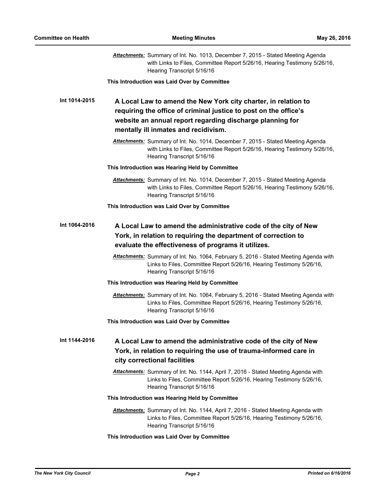|               | Attachments: Summary of Int. No. 1013, December 7, 2015 - Stated Meeting Agenda<br>with Links to Files, Committee Report 5/26/16, Hearing Testimony 5/26/16,<br>Hearing Transcript 5/16/16                                              |
|---------------|-----------------------------------------------------------------------------------------------------------------------------------------------------------------------------------------------------------------------------------------|
|               | This Introduction was Laid Over by Committee                                                                                                                                                                                            |
| Int 1014-2015 | A Local Law to amend the New York city charter, in relation to<br>requiring the office of criminal justice to post on the office's<br>website an annual report regarding discharge planning for<br>mentally ill inmates and recidivism. |
|               | Attachments: Summary of Int. No. 1014, December 7, 2015 - Stated Meeting Agenda<br>with Links to Files, Committee Report 5/26/16, Hearing Testimony 5/26/16,<br>Hearing Transcript 5/16/16                                              |
|               | This Introduction was Hearing Held by Committee                                                                                                                                                                                         |
|               | Attachments: Summary of Int. No. 1014, December 7, 2015 - Stated Meeting Agenda<br>with Links to Files, Committee Report 5/26/16, Hearing Testimony 5/26/16,<br>Hearing Transcript 5/16/16                                              |
|               | This Introduction was Laid Over by Committee                                                                                                                                                                                            |
| Int 1064-2016 | A Local Law to amend the administrative code of the city of New<br>York, in relation to requiring the department of correction to<br>evaluate the effectiveness of programs it utilizes.                                                |
|               | Attachments: Summary of Int. No. 1064, February 5, 2016 - Stated Meeting Agenda with<br>Links to Files, Committee Report 5/26/16, Hearing Testimony 5/26/16,<br>Hearing Transcript 5/16/16                                              |
|               | This Introduction was Hearing Held by Committee                                                                                                                                                                                         |
|               | Attachments: Summary of Int. No. 1064, February 5, 2016 - Stated Meeting Agenda with<br>Links to Files, Committee Report 5/26/16, Hearing Testimony 5/26/16,<br>Hearing Transcript 5/16/16                                              |
|               | This Introduction was Laid Over by Committee                                                                                                                                                                                            |
| Int 1144-2016 | A Local Law to amend the administrative code of the city of New<br>York, in relation to requiring the use of trauma-informed care in<br>city correctional facilities                                                                    |
|               | Attachments: Summary of Int. No. 1144, April 7, 2016 - Stated Meeting Agenda with<br>Links to Files, Committee Report 5/26/16, Hearing Testimony 5/26/16,<br>Hearing Transcript 5/16/16                                                 |
|               | This Introduction was Hearing Held by Committee                                                                                                                                                                                         |
|               | Attachments: Summary of Int. No. 1144, April 7, 2016 - Stated Meeting Agenda with<br>Links to Files, Committee Report 5/26/16, Hearing Testimony 5/26/16,<br>Hearing Transcript 5/16/16                                                 |
|               | This Introduction was Laid Over by Committee                                                                                                                                                                                            |